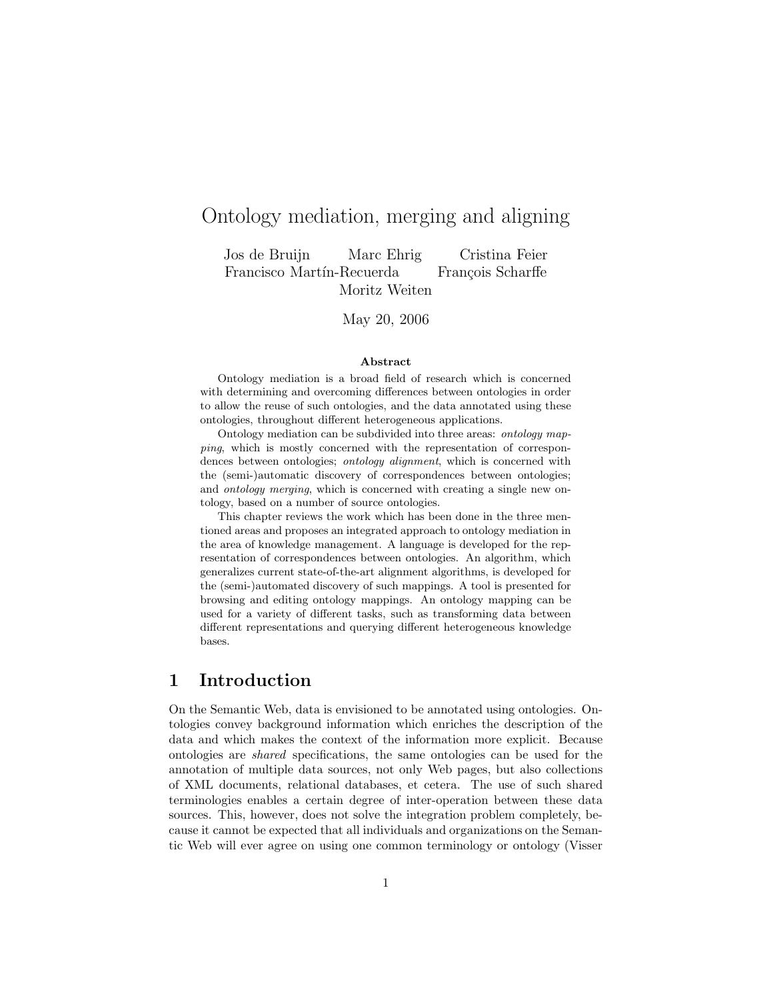# Ontology mediation, merging and aligning

Jos de Bruijn Marc Ehrig Cristina Feier Francisco Martín-Recuerda François Scharffe Moritz Weiten

May 20, 2006

#### Abstract

Ontology mediation is a broad field of research which is concerned with determining and overcoming differences between ontologies in order to allow the reuse of such ontologies, and the data annotated using these ontologies, throughout different heterogeneous applications.

Ontology mediation can be subdivided into three areas: ontology mapping, which is mostly concerned with the representation of correspondences between ontologies; *ontology alignment*, which is concerned with the (semi-)automatic discovery of correspondences between ontologies; and ontology merging, which is concerned with creating a single new ontology, based on a number of source ontologies.

This chapter reviews the work which has been done in the three mentioned areas and proposes an integrated approach to ontology mediation in the area of knowledge management. A language is developed for the representation of correspondences between ontologies. An algorithm, which generalizes current state-of-the-art alignment algorithms, is developed for the (semi-)automated discovery of such mappings. A tool is presented for browsing and editing ontology mappings. An ontology mapping can be used for a variety of different tasks, such as transforming data between different representations and querying different heterogeneous knowledge bases.

## 1 Introduction

On the Semantic Web, data is envisioned to be annotated using ontologies. Ontologies convey background information which enriches the description of the data and which makes the context of the information more explicit. Because ontologies are shared specifications, the same ontologies can be used for the annotation of multiple data sources, not only Web pages, but also collections of XML documents, relational databases, et cetera. The use of such shared terminologies enables a certain degree of inter-operation between these data sources. This, however, does not solve the integration problem completely, because it cannot be expected that all individuals and organizations on the Semantic Web will ever agree on using one common terminology or ontology (Visser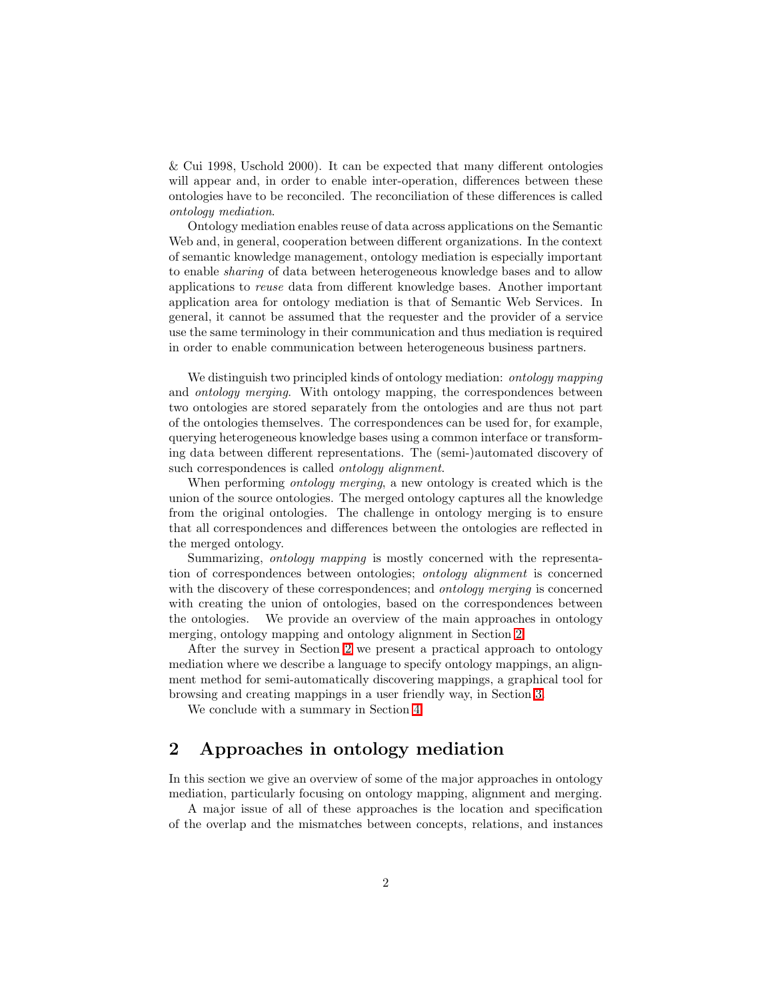& Cui 1998, Uschold 2000). It can be expected that many different ontologies will appear and, in order to enable inter-operation, differences between these ontologies have to be reconciled. The reconciliation of these differences is called ontology mediation.

Ontology mediation enables reuse of data across applications on the Semantic Web and, in general, cooperation between different organizations. In the context of semantic knowledge management, ontology mediation is especially important to enable sharing of data between heterogeneous knowledge bases and to allow applications to reuse data from different knowledge bases. Another important application area for ontology mediation is that of Semantic Web Services. In general, it cannot be assumed that the requester and the provider of a service use the same terminology in their communication and thus mediation is required in order to enable communication between heterogeneous business partners.

We distinguish two principled kinds of ontology mediation: *ontology mapping* and ontology merging. With ontology mapping, the correspondences between two ontologies are stored separately from the ontologies and are thus not part of the ontologies themselves. The correspondences can be used for, for example, querying heterogeneous knowledge bases using a common interface or transforming data between different representations. The (semi-)automated discovery of such correspondences is called *ontology alignment*.

When performing *ontology merging*, a new ontology is created which is the union of the source ontologies. The merged ontology captures all the knowledge from the original ontologies. The challenge in ontology merging is to ensure that all correspondences and differences between the ontologies are reflected in the merged ontology.

Summarizing, ontology mapping is mostly concerned with the representation of correspondences between ontologies; ontology alignment is concerned with the discovery of these correspondences; and *ontology merging* is concerned with creating the union of ontologies, based on the correspondences between the ontologies. We provide an overview of the main approaches in ontology merging, ontology mapping and ontology alignment in Section [2.](#page-1-0)

After the survey in Section [2](#page-1-0) we present a practical approach to ontology mediation where we describe a language to specify ontology mappings, an alignment method for semi-automatically discovering mappings, a graphical tool for browsing and creating mappings in a user friendly way, in Section [3.](#page-9-0)

We conclude with a summary in Section [4.](#page-16-0)

# <span id="page-1-0"></span>2 Approaches in ontology mediation

In this section we give an overview of some of the major approaches in ontology mediation, particularly focusing on ontology mapping, alignment and merging.

A major issue of all of these approaches is the location and specification of the overlap and the mismatches between concepts, relations, and instances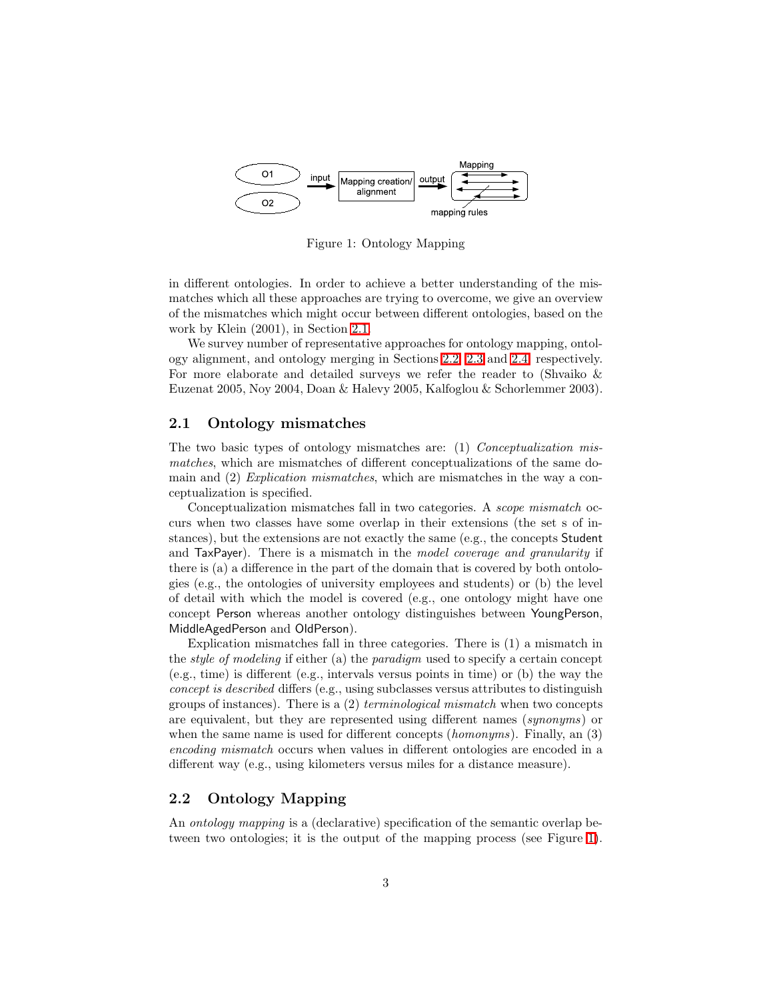

<span id="page-2-2"></span>Figure 1: Ontology Mapping

in different ontologies. In order to achieve a better understanding of the mismatches which all these approaches are trying to overcome, we give an overview of the mismatches which might occur between different ontologies, based on the work by Klein (2001), in Section [2.1.](#page-2-0)

We survey number of representative approaches for ontology mapping, ontology alignment, and ontology merging in Sections [2.2,](#page-2-1) [2.3](#page-5-0) and [2.4,](#page-7-0) respectively. For more elaborate and detailed surveys we refer the reader to (Shvaiko & Euzenat 2005, Noy 2004, Doan & Halevy 2005, Kalfoglou & Schorlemmer 2003).

#### <span id="page-2-0"></span>2.1 Ontology mismatches

The two basic types of ontology mismatches are: (1) Conceptualization mismatches, which are mismatches of different conceptualizations of the same domain and (2) Explication mismatches, which are mismatches in the way a conceptualization is specified.

Conceptualization mismatches fall in two categories. A scope mismatch occurs when two classes have some overlap in their extensions (the set s of instances), but the extensions are not exactly the same (e.g., the concepts Student and TaxPayer). There is a mismatch in the *model coverage and granularity* if there is (a) a difference in the part of the domain that is covered by both ontologies (e.g., the ontologies of university employees and students) or (b) the level of detail with which the model is covered (e.g., one ontology might have one concept Person whereas another ontology distinguishes between YoungPerson, MiddleAgedPerson and OldPerson).

Explication mismatches fall in three categories. There is (1) a mismatch in the style of modeling if either (a) the paradigm used to specify a certain concept (e.g., time) is different (e.g., intervals versus points in time) or (b) the way the concept is described differs (e.g., using subclasses versus attributes to distinguish groups of instances). There is a  $(2)$  terminological mismatch when two concepts are equivalent, but they are represented using different names (synonyms) or when the same name is used for different concepts (homonyms). Finally, an  $(3)$ encoding mismatch occurs when values in different ontologies are encoded in a different way (e.g., using kilometers versus miles for a distance measure).

## <span id="page-2-1"></span>2.2 Ontology Mapping

An ontology mapping is a (declarative) specification of the semantic overlap between two ontologies; it is the output of the mapping process (see Figure [1\)](#page-2-2).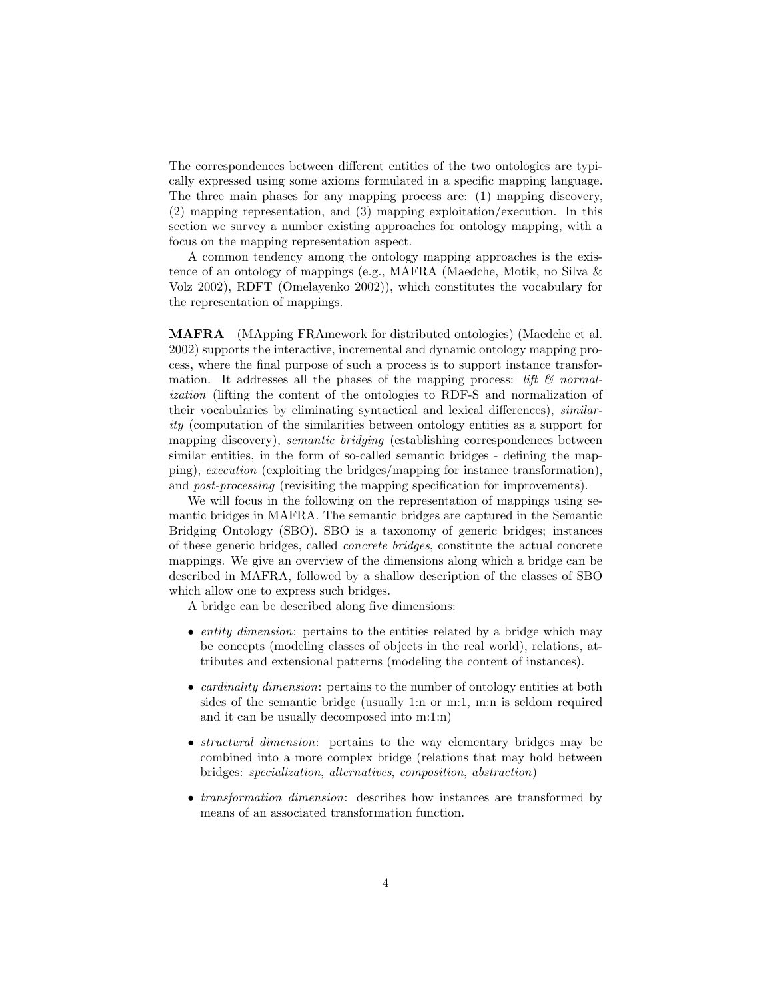The correspondences between different entities of the two ontologies are typically expressed using some axioms formulated in a specific mapping language. The three main phases for any mapping process are: (1) mapping discovery, (2) mapping representation, and (3) mapping exploitation/execution. In this section we survey a number existing approaches for ontology mapping, with a focus on the mapping representation aspect.

A common tendency among the ontology mapping approaches is the existence of an ontology of mappings (e.g., MAFRA (Maedche, Motik, no Silva & Volz 2002), RDFT (Omelayenko 2002)), which constitutes the vocabulary for the representation of mappings.

MAFRA (MApping FRAmework for distributed ontologies) (Maedche et al. 2002) supports the interactive, incremental and dynamic ontology mapping process, where the final purpose of such a process is to support instance transformation. It addresses all the phases of the mapping process: lift  $\mathcal C$  normalization (lifting the content of the ontologies to RDF-S and normalization of their vocabularies by eliminating syntactical and lexical differences), similarity (computation of the similarities between ontology entities as a support for mapping discovery), *semantic bridging* (establishing correspondences between similar entities, in the form of so-called semantic bridges - defining the mapping), execution (exploiting the bridges/mapping for instance transformation), and *post-processing* (revisiting the mapping specification for improvements).

We will focus in the following on the representation of mappings using semantic bridges in MAFRA. The semantic bridges are captured in the Semantic Bridging Ontology (SBO). SBO is a taxonomy of generic bridges; instances of these generic bridges, called concrete bridges, constitute the actual concrete mappings. We give an overview of the dimensions along which a bridge can be described in MAFRA, followed by a shallow description of the classes of SBO which allow one to express such bridges.

A bridge can be described along five dimensions:

- entity dimension: pertains to the entities related by a bridge which may be concepts (modeling classes of objects in the real world), relations, attributes and extensional patterns (modeling the content of instances).
- *cardinality dimension*: pertains to the number of ontology entities at both sides of the semantic bridge (usually 1:n or m:1, m:n is seldom required and it can be usually decomposed into m:1:n)
- structural dimension: pertains to the way elementary bridges may be combined into a more complex bridge (relations that may hold between bridges: specialization, alternatives, composition, abstraction)
- transformation dimension: describes how instances are transformed by means of an associated transformation function.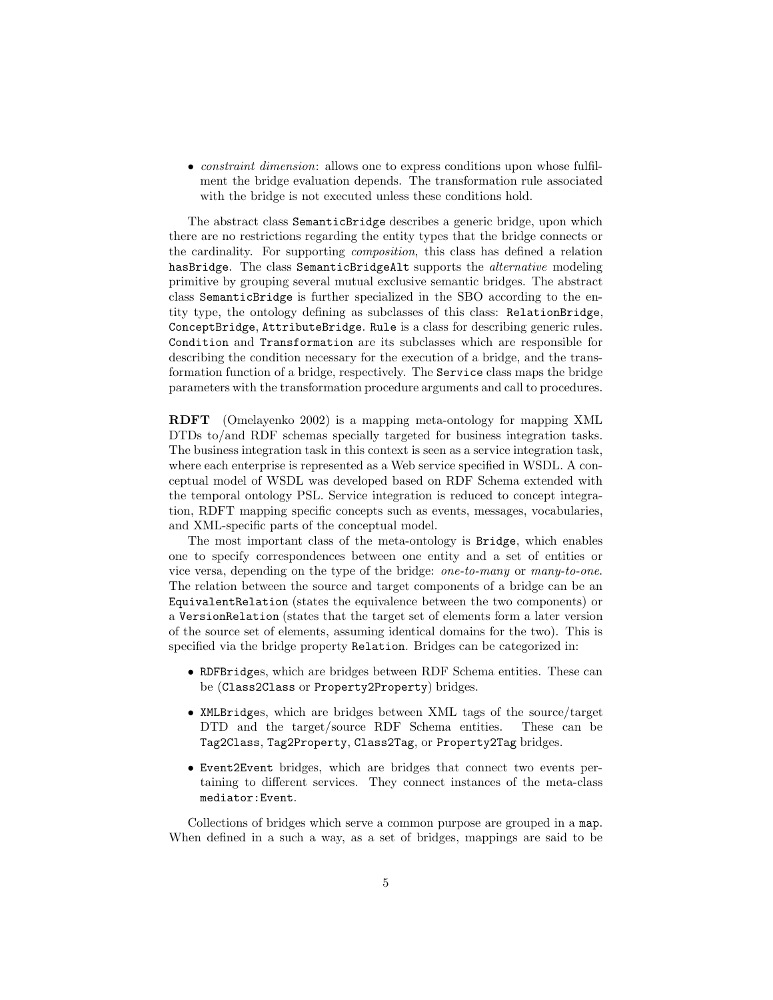• *constraint dimension*: allows one to express conditions upon whose fulfilment the bridge evaluation depends. The transformation rule associated with the bridge is not executed unless these conditions hold.

The abstract class SemanticBridge describes a generic bridge, upon which there are no restrictions regarding the entity types that the bridge connects or the cardinality. For supporting composition, this class has defined a relation hasBridge. The class SemanticBridgeAlt supports the *alternative* modeling primitive by grouping several mutual exclusive semantic bridges. The abstract class SemanticBridge is further specialized in the SBO according to the entity type, the ontology defining as subclasses of this class: RelationBridge, ConceptBridge, AttributeBridge. Rule is a class for describing generic rules. Condition and Transformation are its subclasses which are responsible for describing the condition necessary for the execution of a bridge, and the transformation function of a bridge, respectively. The Service class maps the bridge parameters with the transformation procedure arguments and call to procedures.

RDFT (Omelayenko 2002) is a mapping meta-ontology for mapping XML DTDs to/and RDF schemas specially targeted for business integration tasks. The business integration task in this context is seen as a service integration task, where each enterprise is represented as a Web service specified in WSDL. A conceptual model of WSDL was developed based on RDF Schema extended with the temporal ontology PSL. Service integration is reduced to concept integration, RDFT mapping specific concepts such as events, messages, vocabularies, and XML-specific parts of the conceptual model.

The most important class of the meta-ontology is Bridge, which enables one to specify correspondences between one entity and a set of entities or vice versa, depending on the type of the bridge: one-to-many or many-to-one. The relation between the source and target components of a bridge can be an EquivalentRelation (states the equivalence between the two components) or a VersionRelation (states that the target set of elements form a later version of the source set of elements, assuming identical domains for the two). This is specified via the bridge property Relation. Bridges can be categorized in:

- RDFBridges, which are bridges between RDF Schema entities. These can be (Class2Class or Property2Property) bridges.
- XMLBridges, which are bridges between XML tags of the source/target DTD and the target/source RDF Schema entities. These can be Tag2Class, Tag2Property, Class2Tag, or Property2Tag bridges.
- Event2Event bridges, which are bridges that connect two events pertaining to different services. They connect instances of the meta-class mediator:Event.

Collections of bridges which serve a common purpose are grouped in a map. When defined in a such a way, as a set of bridges, mappings are said to be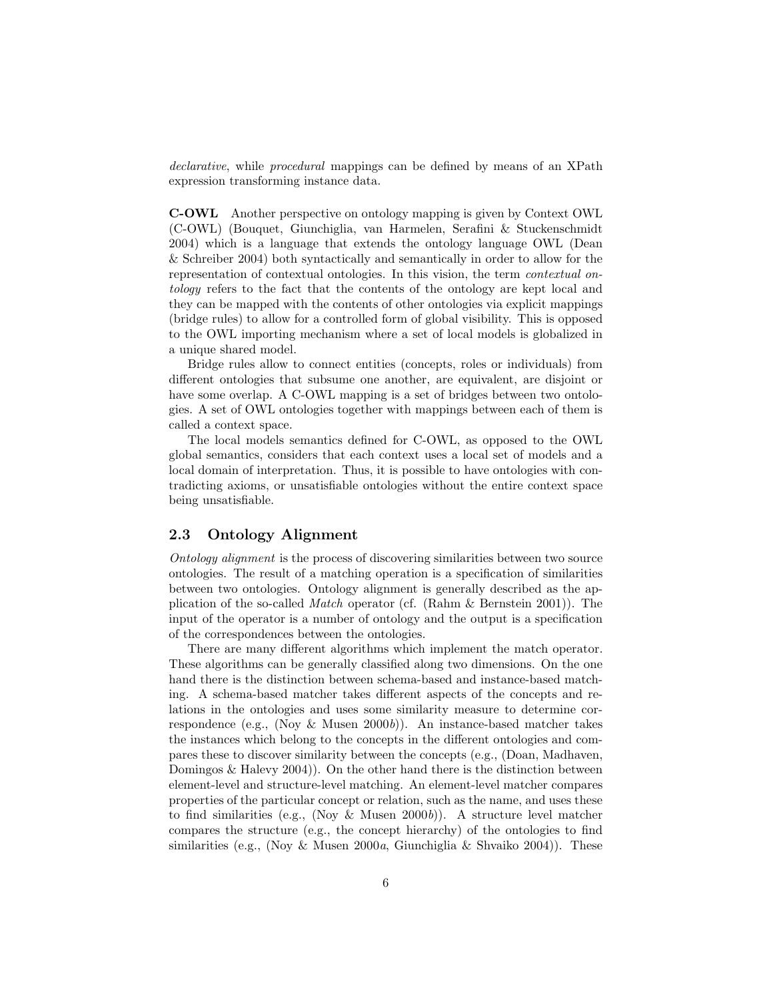declarative, while procedural mappings can be defined by means of an XPath expression transforming instance data.

C-OWL Another perspective on ontology mapping is given by Context OWL (C-OWL) (Bouquet, Giunchiglia, van Harmelen, Serafini & Stuckenschmidt 2004) which is a language that extends the ontology language OWL (Dean & Schreiber 2004) both syntactically and semantically in order to allow for the representation of contextual ontologies. In this vision, the term contextual ontology refers to the fact that the contents of the ontology are kept local and they can be mapped with the contents of other ontologies via explicit mappings (bridge rules) to allow for a controlled form of global visibility. This is opposed to the OWL importing mechanism where a set of local models is globalized in a unique shared model.

Bridge rules allow to connect entities (concepts, roles or individuals) from different ontologies that subsume one another, are equivalent, are disjoint or have some overlap. A C-OWL mapping is a set of bridges between two ontologies. A set of OWL ontologies together with mappings between each of them is called a context space.

The local models semantics defined for C-OWL, as opposed to the OWL global semantics, considers that each context uses a local set of models and a local domain of interpretation. Thus, it is possible to have ontologies with contradicting axioms, or unsatisfiable ontologies without the entire context space being unsatisfiable.

## <span id="page-5-0"></span>2.3 Ontology Alignment

Ontology alignment is the process of discovering similarities between two source ontologies. The result of a matching operation is a specification of similarities between two ontologies. Ontology alignment is generally described as the application of the so-called Match operator (cf. (Rahm & Bernstein 2001)). The input of the operator is a number of ontology and the output is a specification of the correspondences between the ontologies.

There are many different algorithms which implement the match operator. These algorithms can be generally classified along two dimensions. On the one hand there is the distinction between schema-based and instance-based matching. A schema-based matcher takes different aspects of the concepts and relations in the ontologies and uses some similarity measure to determine correspondence (e.g., (Noy & Musen 2000b)). An instance-based matcher takes the instances which belong to the concepts in the different ontologies and compares these to discover similarity between the concepts (e.g., (Doan, Madhaven, Domingos  $\&$  Halevy 2004). On the other hand there is the distinction between element-level and structure-level matching. An element-level matcher compares properties of the particular concept or relation, such as the name, and uses these to find similarities (e.g., (Noy & Musen 2000b)). A structure level matcher compares the structure (e.g., the concept hierarchy) of the ontologies to find similarities (e.g., (Noy & Musen 2000a, Giunchiglia & Shvaiko 2004)). These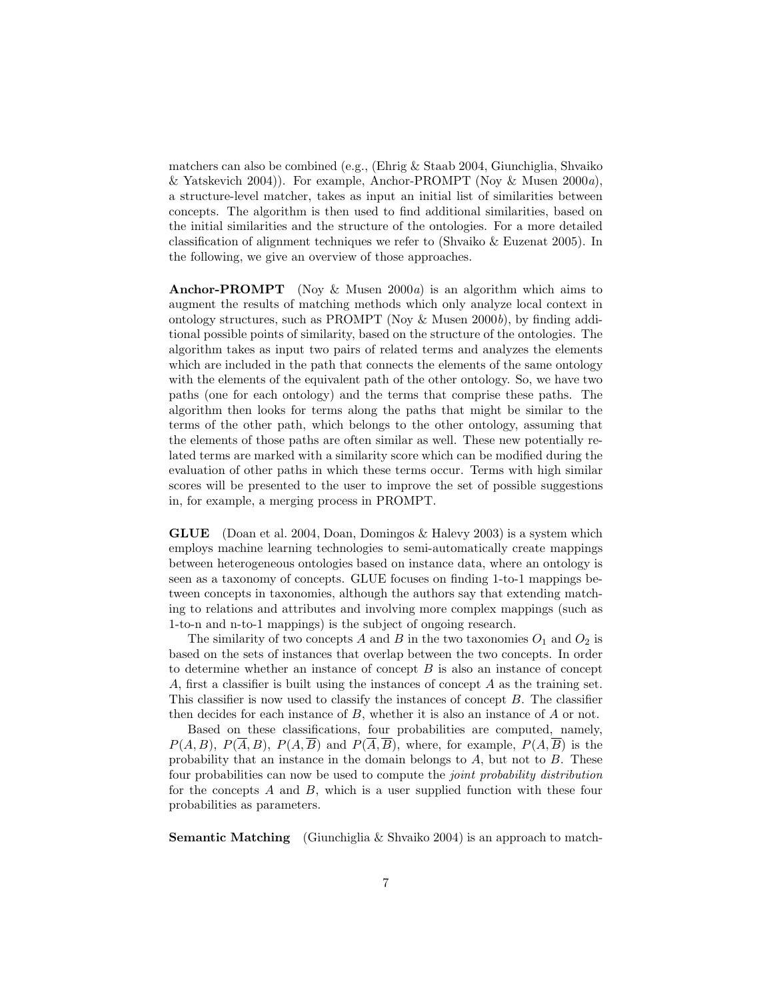matchers can also be combined (e.g., (Ehrig & Staab 2004, Giunchiglia, Shvaiko & Yatskevich 2004)). For example, Anchor-PROMPT (Noy & Musen 2000a), a structure-level matcher, takes as input an initial list of similarities between concepts. The algorithm is then used to find additional similarities, based on the initial similarities and the structure of the ontologies. For a more detailed classification of alignment techniques we refer to (Shvaiko & Euzenat 2005). In the following, we give an overview of those approaches.

**Anchor-PROMPT** (Noy & Musen 2000a) is an algorithm which aims to augment the results of matching methods which only analyze local context in ontology structures, such as PROMPT (Noy & Musen 2000b), by finding additional possible points of similarity, based on the structure of the ontologies. The algorithm takes as input two pairs of related terms and analyzes the elements which are included in the path that connects the elements of the same ontology with the elements of the equivalent path of the other ontology. So, we have two paths (one for each ontology) and the terms that comprise these paths. The algorithm then looks for terms along the paths that might be similar to the terms of the other path, which belongs to the other ontology, assuming that the elements of those paths are often similar as well. These new potentially related terms are marked with a similarity score which can be modified during the evaluation of other paths in which these terms occur. Terms with high similar scores will be presented to the user to improve the set of possible suggestions in, for example, a merging process in PROMPT.

GLUE (Doan et al. 2004, Doan, Domingos & Halevy 2003) is a system which employs machine learning technologies to semi-automatically create mappings between heterogeneous ontologies based on instance data, where an ontology is seen as a taxonomy of concepts. GLUE focuses on finding 1-to-1 mappings between concepts in taxonomies, although the authors say that extending matching to relations and attributes and involving more complex mappings (such as 1-to-n and n-to-1 mappings) is the subject of ongoing research.

The similarity of two concepts A and B in the two taxonomies  $O_1$  and  $O_2$  is based on the sets of instances that overlap between the two concepts. In order to determine whether an instance of concept  $B$  is also an instance of concept A, first a classifier is built using the instances of concept A as the training set. This classifier is now used to classify the instances of concept B. The classifier then decides for each instance of  $B$ , whether it is also an instance of  $A$  or not.

Based on these classifications, four probabilities are computed, namely,  $P(A, B), P(\overline{A}, B), P(A, \overline{B})$  and  $P(\overline{A}, \overline{B})$ , where, for example,  $P(A, \overline{B})$  is the probability that an instance in the domain belongs to  $A$ , but not to  $B$ . These four probabilities can now be used to compute the joint probability distribution for the concepts  $A$  and  $B$ , which is a user supplied function with these four probabilities as parameters.

Semantic Matching (Giunchiglia & Shvaiko 2004) is an approach to match-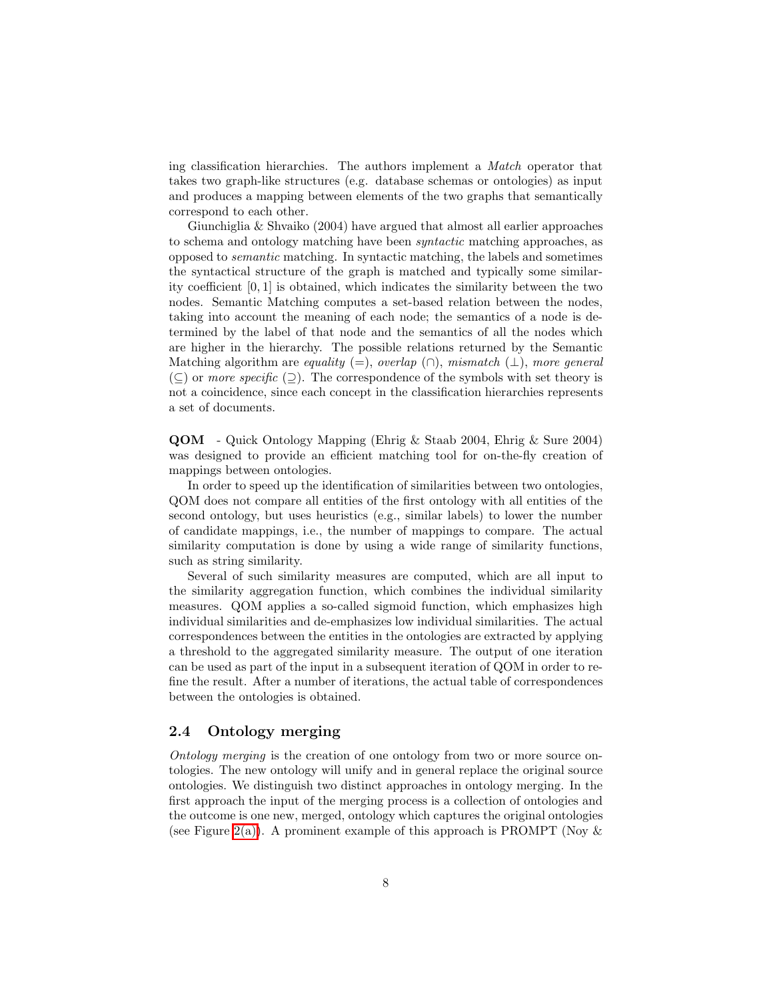ing classification hierarchies. The authors implement a Match operator that takes two graph-like structures (e.g. database schemas or ontologies) as input and produces a mapping between elements of the two graphs that semantically correspond to each other.

Giunchiglia & Shvaiko (2004) have argued that almost all earlier approaches to schema and ontology matching have been syntactic matching approaches, as opposed to semantic matching. In syntactic matching, the labels and sometimes the syntactical structure of the graph is matched and typically some similarity coefficient [0, 1] is obtained, which indicates the similarity between the two nodes. Semantic Matching computes a set-based relation between the nodes, taking into account the meaning of each node; the semantics of a node is determined by the label of that node and the semantics of all the nodes which are higher in the hierarchy. The possible relations returned by the Semantic Matching algorithm are equality (=), overlap (∩), mismatch ( $\perp$ ), more general  $(\subseteq)$  or *more specific*  $(\supset)$ . The correspondence of the symbols with set theory is not a coincidence, since each concept in the classification hierarchies represents a set of documents.

QOM - Quick Ontology Mapping (Ehrig & Staab 2004, Ehrig & Sure 2004) was designed to provide an efficient matching tool for on-the-fly creation of mappings between ontologies.

In order to speed up the identification of similarities between two ontologies, QOM does not compare all entities of the first ontology with all entities of the second ontology, but uses heuristics (e.g., similar labels) to lower the number of candidate mappings, i.e., the number of mappings to compare. The actual similarity computation is done by using a wide range of similarity functions, such as string similarity.

Several of such similarity measures are computed, which are all input to the similarity aggregation function, which combines the individual similarity measures. QOM applies a so-called sigmoid function, which emphasizes high individual similarities and de-emphasizes low individual similarities. The actual correspondences between the entities in the ontologies are extracted by applying a threshold to the aggregated similarity measure. The output of one iteration can be used as part of the input in a subsequent iteration of QOM in order to refine the result. After a number of iterations, the actual table of correspondences between the ontologies is obtained.

## <span id="page-7-0"></span>2.4 Ontology merging

Ontology merging is the creation of one ontology from two or more source ontologies. The new ontology will unify and in general replace the original source ontologies. We distinguish two distinct approaches in ontology merging. In the first approach the input of the merging process is a collection of ontologies and the outcome is one new, merged, ontology which captures the original ontologies (see Figure [2\(a\)\)](#page-8-0). A prominent example of this approach is PROMPT (Noy  $\&$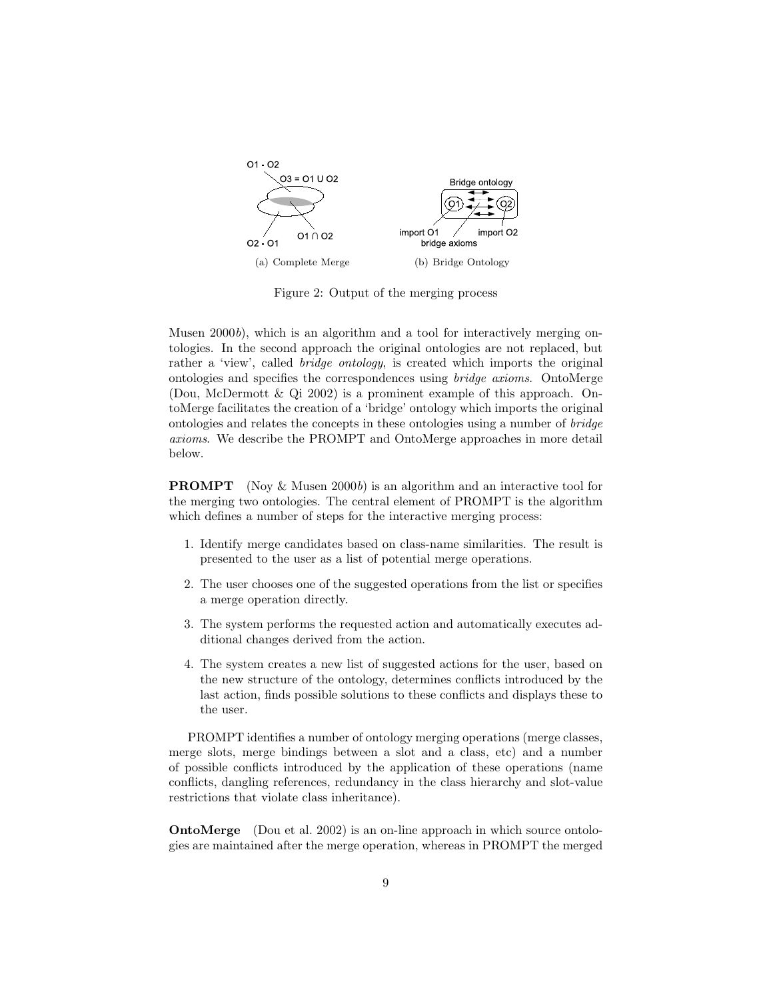<span id="page-8-0"></span>

<span id="page-8-1"></span>Figure 2: Output of the merging process

Musen  $2000b$ , which is an algorithm and a tool for interactively merging ontologies. In the second approach the original ontologies are not replaced, but rather a 'view', called bridge ontology, is created which imports the original ontologies and specifies the correspondences using bridge axioms. OntoMerge (Dou, McDermott & Qi 2002) is a prominent example of this approach. OntoMerge facilitates the creation of a 'bridge' ontology which imports the original ontologies and relates the concepts in these ontologies using a number of bridge axioms. We describe the PROMPT and OntoMerge approaches in more detail below.

**PROMPT** (Noy & Musen 2000b) is an algorithm and an interactive tool for the merging two ontologies. The central element of PROMPT is the algorithm which defines a number of steps for the interactive merging process:

- 1. Identify merge candidates based on class-name similarities. The result is presented to the user as a list of potential merge operations.
- 2. The user chooses one of the suggested operations from the list or specifies a merge operation directly.
- 3. The system performs the requested action and automatically executes additional changes derived from the action.
- 4. The system creates a new list of suggested actions for the user, based on the new structure of the ontology, determines conflicts introduced by the last action, finds possible solutions to these conflicts and displays these to the user.

PROMPT identifies a number of ontology merging operations (merge classes, merge slots, merge bindings between a slot and a class, etc) and a number of possible conflicts introduced by the application of these operations (name conflicts, dangling references, redundancy in the class hierarchy and slot-value restrictions that violate class inheritance).

OntoMerge (Dou et al. 2002) is an on-line approach in which source ontologies are maintained after the merge operation, whereas in PROMPT the merged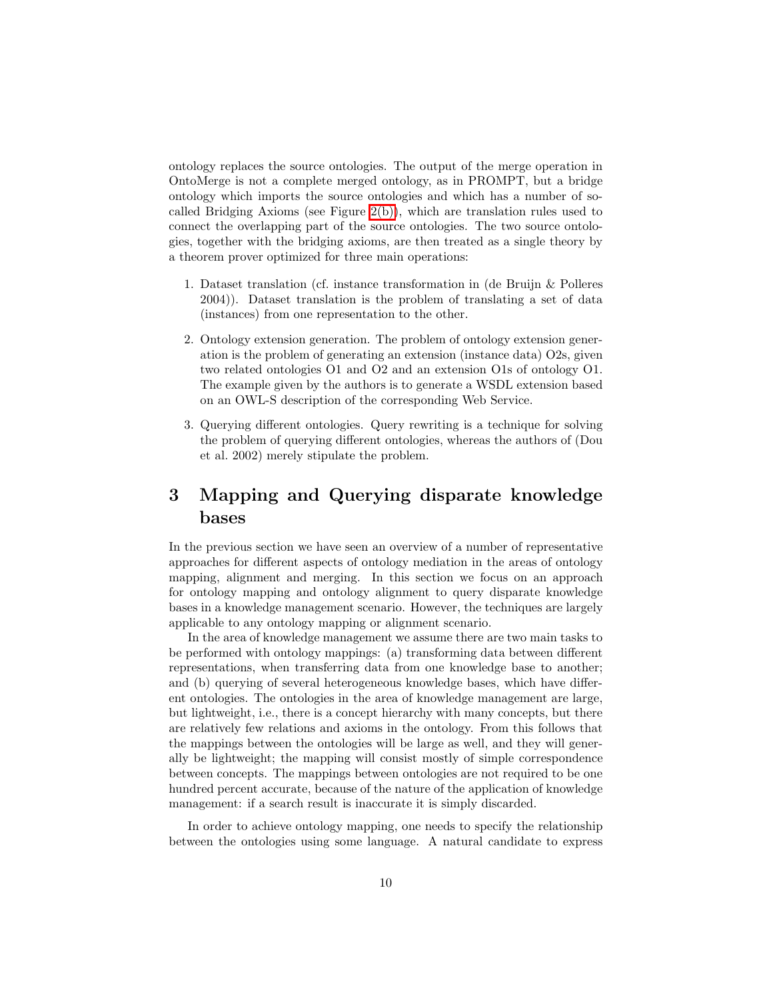ontology replaces the source ontologies. The output of the merge operation in OntoMerge is not a complete merged ontology, as in PROMPT, but a bridge ontology which imports the source ontologies and which has a number of socalled Bridging Axioms (see Figure  $2(b)$ ), which are translation rules used to connect the overlapping part of the source ontologies. The two source ontologies, together with the bridging axioms, are then treated as a single theory by a theorem prover optimized for three main operations:

- 1. Dataset translation (cf. instance transformation in (de Bruijn & Polleres 2004)). Dataset translation is the problem of translating a set of data (instances) from one representation to the other.
- 2. Ontology extension generation. The problem of ontology extension generation is the problem of generating an extension (instance data) O2s, given two related ontologies O1 and O2 and an extension O1s of ontology O1. The example given by the authors is to generate a WSDL extension based on an OWL-S description of the corresponding Web Service.
- 3. Querying different ontologies. Query rewriting is a technique for solving the problem of querying different ontologies, whereas the authors of (Dou et al. 2002) merely stipulate the problem.

# <span id="page-9-0"></span>3 Mapping and Querying disparate knowledge bases

In the previous section we have seen an overview of a number of representative approaches for different aspects of ontology mediation in the areas of ontology mapping, alignment and merging. In this section we focus on an approach for ontology mapping and ontology alignment to query disparate knowledge bases in a knowledge management scenario. However, the techniques are largely applicable to any ontology mapping or alignment scenario.

In the area of knowledge management we assume there are two main tasks to be performed with ontology mappings: (a) transforming data between different representations, when transferring data from one knowledge base to another; and (b) querying of several heterogeneous knowledge bases, which have different ontologies. The ontologies in the area of knowledge management are large, but lightweight, i.e., there is a concept hierarchy with many concepts, but there are relatively few relations and axioms in the ontology. From this follows that the mappings between the ontologies will be large as well, and they will generally be lightweight; the mapping will consist mostly of simple correspondence between concepts. The mappings between ontologies are not required to be one hundred percent accurate, because of the nature of the application of knowledge management: if a search result is inaccurate it is simply discarded.

In order to achieve ontology mapping, one needs to specify the relationship between the ontologies using some language. A natural candidate to express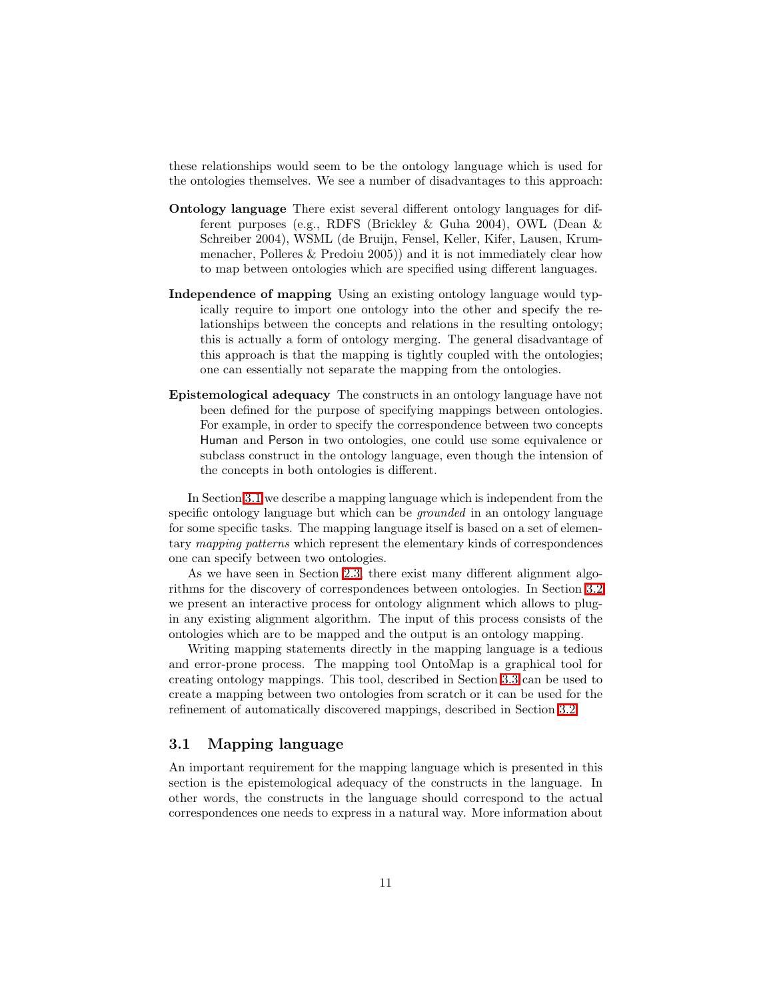these relationships would seem to be the ontology language which is used for the ontologies themselves. We see a number of disadvantages to this approach:

- Ontology language There exist several different ontology languages for different purposes (e.g., RDFS (Brickley & Guha 2004), OWL (Dean & Schreiber 2004), WSML (de Bruijn, Fensel, Keller, Kifer, Lausen, Krummenacher, Polleres & Predoiu 2005)) and it is not immediately clear how to map between ontologies which are specified using different languages.
- Independence of mapping Using an existing ontology language would typically require to import one ontology into the other and specify the relationships between the concepts and relations in the resulting ontology; this is actually a form of ontology merging. The general disadvantage of this approach is that the mapping is tightly coupled with the ontologies; one can essentially not separate the mapping from the ontologies.
- Epistemological adequacy The constructs in an ontology language have not been defined for the purpose of specifying mappings between ontologies. For example, in order to specify the correspondence between two concepts Human and Person in two ontologies, one could use some equivalence or subclass construct in the ontology language, even though the intension of the concepts in both ontologies is different.

In Section [3.1](#page-10-0) we describe a mapping language which is independent from the specific ontology language but which can be *grounded* in an ontology language for some specific tasks. The mapping language itself is based on a set of elementary mapping patterns which represent the elementary kinds of correspondences one can specify between two ontologies.

As we have seen in Section [2.3,](#page-5-0) there exist many different alignment algorithms for the discovery of correspondences between ontologies. In Section [3.2](#page-12-0) we present an interactive process for ontology alignment which allows to plugin any existing alignment algorithm. The input of this process consists of the ontologies which are to be mapped and the output is an ontology mapping.

Writing mapping statements directly in the mapping language is a tedious and error-prone process. The mapping tool OntoMap is a graphical tool for creating ontology mappings. This tool, described in Section [3.3](#page-14-0) can be used to create a mapping between two ontologies from scratch or it can be used for the refinement of automatically discovered mappings, described in Section [3.2.](#page-12-0)

## <span id="page-10-0"></span>3.1 Mapping language

An important requirement for the mapping language which is presented in this section is the epistemological adequacy of the constructs in the language. In other words, the constructs in the language should correspond to the actual correspondences one needs to express in a natural way. More information about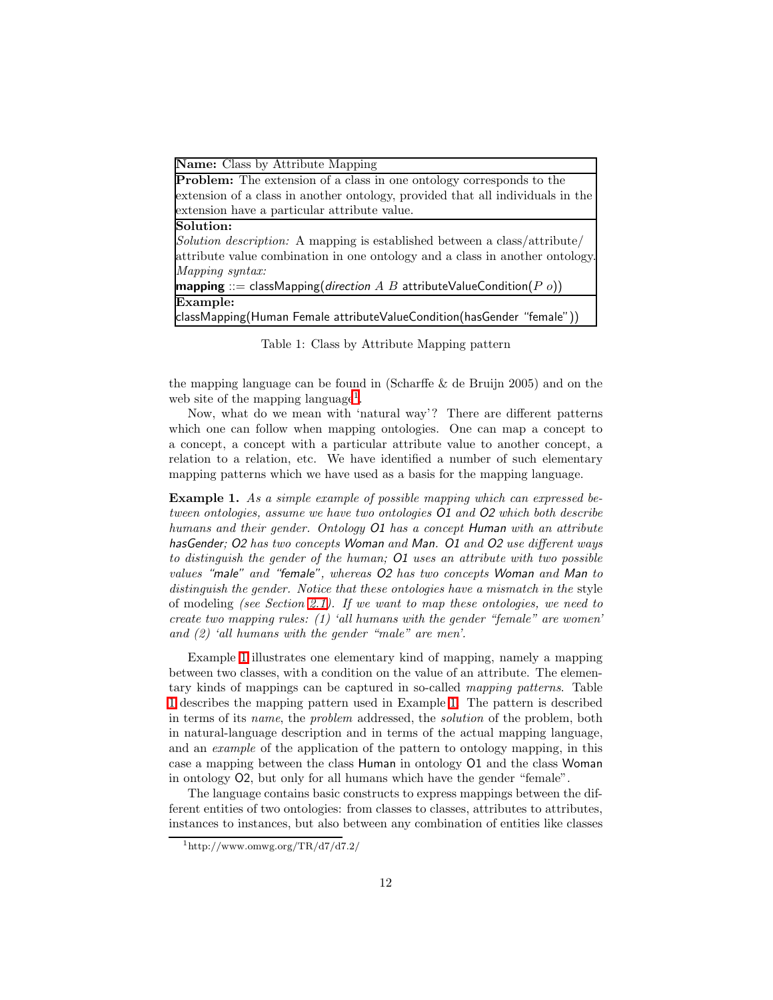Name: Class by Attribute Mapping

Problem: The extension of a class in one ontology corresponds to the extension of a class in another ontology, provided that all individuals in the extension have a particular attribute value. Solution:

| <i>Solution description:</i> A mapping is established between a class/attribute/ |
|----------------------------------------------------------------------------------|
| attribute value combination in one ontology and a class in another ontology.     |
| <i>Mapping syntax:</i>                                                           |

|          | <b>Imapping</b> ::= classMapping( <i>direction A B</i> attributeValueCondition( <i>P o</i> )) |
|----------|-----------------------------------------------------------------------------------------------|
| Example: |                                                                                               |
|          | classMapping(Human Female attributeValueCondition(hasGender "female"                          |

<span id="page-11-2"></span>Table 1: Class by Attribute Mapping pattern

the mapping language can be found in (Scharffe  $\&$  de Bruijn 2005) and on the web site of the mapping language<sup>[1](#page-11-0)</sup>.

Now, what do we mean with 'natural way'? There are different patterns which one can follow when mapping ontologies. One can map a concept to a concept, a concept with a particular attribute value to another concept, a relation to a relation, etc. We have identified a number of such elementary mapping patterns which we have used as a basis for the mapping language.

<span id="page-11-1"></span>Example 1. As a simple example of possible mapping which can expressed between ontologies, assume we have two ontologies O1 and O2 which both describe humans and their gender. Ontology O1 has a concept Human with an attribute hasGender; O2 has two concepts Woman and Man. O1 and O2 use different ways to distinguish the gender of the human; O1 uses an attribute with two possible values "male" and "female", whereas O2 has two concepts Woman and Man to distinguish the gender. Notice that these ontologies have a mismatch in the style of modeling (see Section [2.1\)](#page-2-0). If we want to map these ontologies, we need to create two mapping rules: (1) 'all humans with the gender "female" are women' and (2) 'all humans with the gender "male" are men'.

Example [1](#page-11-1) illustrates one elementary kind of mapping, namely a mapping between two classes, with a condition on the value of an attribute. The elementary kinds of mappings can be captured in so-called mapping patterns. Table [1](#page-11-2) describes the mapping pattern used in Example [1.](#page-11-1) The pattern is described in terms of its name, the problem addressed, the solution of the problem, both in natural-language description and in terms of the actual mapping language, and an example of the application of the pattern to ontology mapping, in this case a mapping between the class Human in ontology O1 and the class Woman in ontology O2, but only for all humans which have the gender "female".

The language contains basic constructs to express mappings between the different entities of two ontologies: from classes to classes, attributes to attributes, instances to instances, but also between any combination of entities like classes

<span id="page-11-0"></span><sup>1</sup>http://www.omwg.org/TR/d7/d7.2/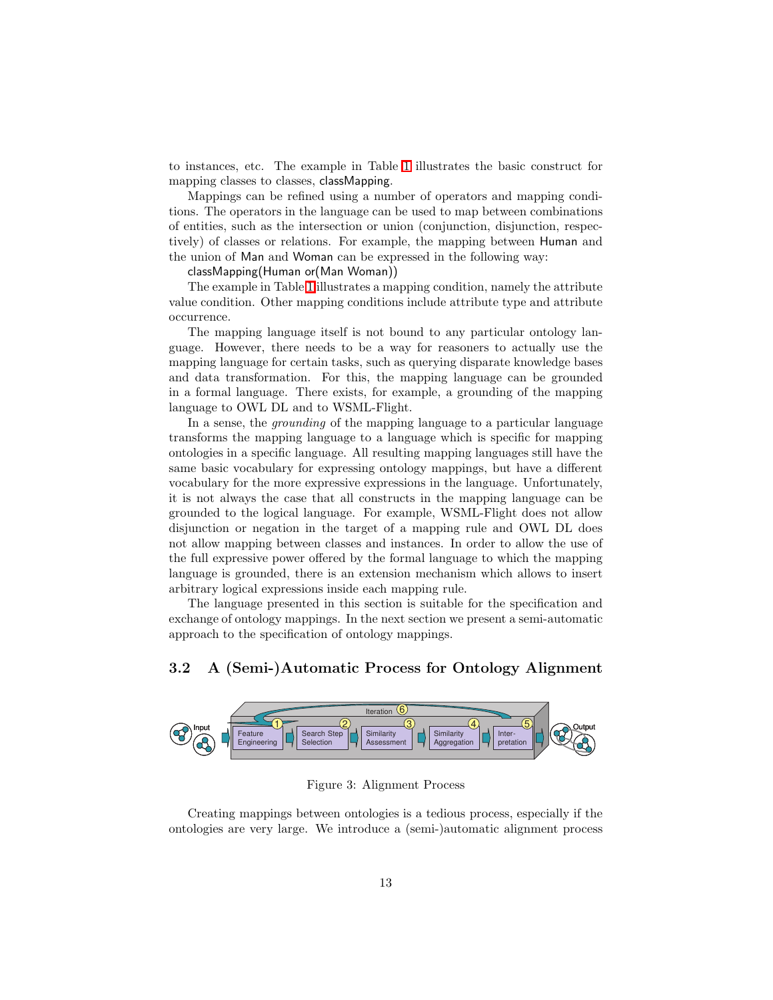to instances, etc. The example in Table [1](#page-11-2) illustrates the basic construct for mapping classes to classes, classMapping.

Mappings can be refined using a number of operators and mapping conditions. The operators in the language can be used to map between combinations of entities, such as the intersection or union (conjunction, disjunction, respectively) of classes or relations. For example, the mapping between Human and the union of Man and Woman can be expressed in the following way:

classMapping(Human or(Man Woman))

The example in Table [1](#page-11-2) illustrates a mapping condition, namely the attribute value condition. Other mapping conditions include attribute type and attribute occurrence.

The mapping language itself is not bound to any particular ontology language. However, there needs to be a way for reasoners to actually use the mapping language for certain tasks, such as querying disparate knowledge bases and data transformation. For this, the mapping language can be grounded in a formal language. There exists, for example, a grounding of the mapping language to OWL DL and to WSML-Flight.

In a sense, the *grounding* of the mapping language to a particular language transforms the mapping language to a language which is specific for mapping ontologies in a specific language. All resulting mapping languages still have the same basic vocabulary for expressing ontology mappings, but have a different vocabulary for the more expressive expressions in the language. Unfortunately, it is not always the case that all constructs in the mapping language can be grounded to the logical language. For example, WSML-Flight does not allow disjunction or negation in the target of a mapping rule and OWL DL does not allow mapping between classes and instances. In order to allow the use of the full expressive power offered by the formal language to which the mapping language is grounded, there is an extension mechanism which allows to insert arbitrary logical expressions inside each mapping rule.

The language presented in this section is suitable for the specification and exchange of ontology mappings. In the next section we present a semi-automatic approach to the specification of ontology mappings.

## 3.2 A (Semi-)Automatic Process for Ontology Alignment

<span id="page-12-0"></span>

<span id="page-12-1"></span>Figure 3: Alignment Process

Creating mappings between ontologies is a tedious process, especially if the ontologies are very large. We introduce a (semi-)automatic alignment process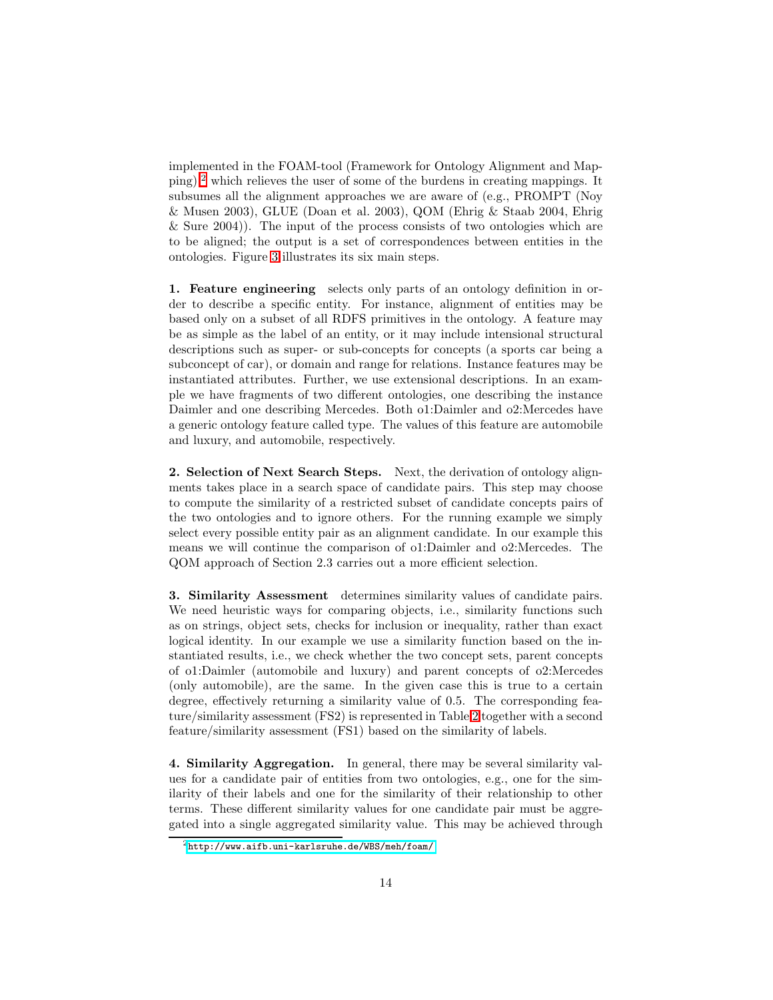implemented in the FOAM-tool (Framework for Ontology Alignment and Map- $\text{ping}$ ),<sup>[2](#page-13-0)</sup> which relieves the user of some of the burdens in creating mappings. It subsumes all the alignment approaches we are aware of (e.g., PROMPT (Noy & Musen 2003), GLUE (Doan et al. 2003), QOM (Ehrig & Staab 2004, Ehrig  $\&$  Sure 2004). The input of the process consists of two ontologies which are to be aligned; the output is a set of correspondences between entities in the ontologies. Figure [3](#page-12-1) illustrates its six main steps.

1. Feature engineering selects only parts of an ontology definition in order to describe a specific entity. For instance, alignment of entities may be based only on a subset of all RDFS primitives in the ontology. A feature may be as simple as the label of an entity, or it may include intensional structural descriptions such as super- or sub-concepts for concepts (a sports car being a subconcept of car), or domain and range for relations. Instance features may be instantiated attributes. Further, we use extensional descriptions. In an example we have fragments of two different ontologies, one describing the instance Daimler and one describing Mercedes. Both o1:Daimler and o2:Mercedes have a generic ontology feature called type. The values of this feature are automobile and luxury, and automobile, respectively.

2. Selection of Next Search Steps. Next, the derivation of ontology alignments takes place in a search space of candidate pairs. This step may choose to compute the similarity of a restricted subset of candidate concepts pairs of the two ontologies and to ignore others. For the running example we simply select every possible entity pair as an alignment candidate. In our example this means we will continue the comparison of o1:Daimler and o2:Mercedes. The QOM approach of Section 2.3 carries out a more efficient selection.

3. Similarity Assessment determines similarity values of candidate pairs. We need heuristic ways for comparing objects, i.e., similarity functions such as on strings, object sets, checks for inclusion or inequality, rather than exact logical identity. In our example we use a similarity function based on the instantiated results, i.e., we check whether the two concept sets, parent concepts of o1:Daimler (automobile and luxury) and parent concepts of o2:Mercedes (only automobile), are the same. In the given case this is true to a certain degree, effectively returning a similarity value of 0.5. The corresponding feature/similarity assessment (FS2) is represented in Table [2](#page-14-1) together with a second feature/similarity assessment (FS1) based on the similarity of labels.

4. Similarity Aggregation. In general, there may be several similarity values for a candidate pair of entities from two ontologies, e.g., one for the similarity of their labels and one for the similarity of their relationship to other terms. These different similarity values for one candidate pair must be aggregated into a single aggregated similarity value. This may be achieved through

<span id="page-13-0"></span> $^{2}$ <http://www.aifb.uni-karlsruhe.de/WBS/meh/foam/>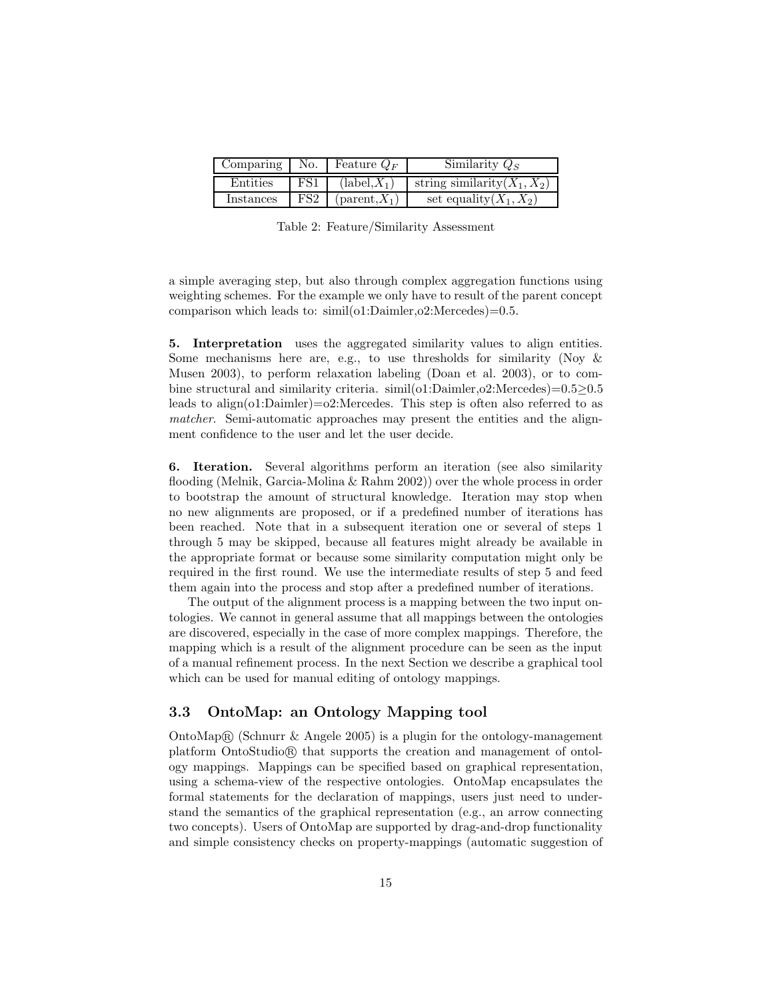| Comparing       | No.                  | Feature $Q_F$   | Similarity $Q_S$               |
|-----------------|----------------------|-----------------|--------------------------------|
| <b>Entities</b> | FS1                  | $(label, X_1)$  | string similarity $(X_1, X_2)$ |
| Instances       | $\operatorname{FS2}$ | $(parent, X_1)$ | set equality $(X_1, X_2)$      |

<span id="page-14-1"></span>Table 2: Feature/Similarity Assessment

a simple averaging step, but also through complex aggregation functions using weighting schemes. For the example we only have to result of the parent concept comparison which leads to: simil(o1:Daimler,o2:Mercedes)=0.5.

5. Interpretation uses the aggregated similarity values to align entities. Some mechanisms here are, e.g., to use thresholds for similarity (Noy  $\&$ Musen 2003), to perform relaxation labeling (Doan et al. 2003), or to combine structural and similarity criteria. simil(o1:Daimler,o2:Mercedes)=0.5≥0.5 leads to align(o1:Daimler)=o2:Mercedes. This step is often also referred to as matcher. Semi-automatic approaches may present the entities and the alignment confidence to the user and let the user decide.

6. Iteration. Several algorithms perform an iteration (see also similarity flooding (Melnik, Garcia-Molina & Rahm 2002)) over the whole process in order to bootstrap the amount of structural knowledge. Iteration may stop when no new alignments are proposed, or if a predefined number of iterations has been reached. Note that in a subsequent iteration one or several of steps 1 through 5 may be skipped, because all features might already be available in the appropriate format or because some similarity computation might only be required in the first round. We use the intermediate results of step 5 and feed them again into the process and stop after a predefined number of iterations.

The output of the alignment process is a mapping between the two input ontologies. We cannot in general assume that all mappings between the ontologies are discovered, especially in the case of more complex mappings. Therefore, the mapping which is a result of the alignment procedure can be seen as the input of a manual refinement process. In the next Section we describe a graphical tool which can be used for manual editing of ontology mappings.

## <span id="page-14-0"></span>3.3 OntoMap: an Ontology Mapping tool

OntoMap <sup>R</sup> (Schnurr & Angele 2005) is a plugin for the ontology-management platform OntoStudio <sup>R</sup> that supports the creation and management of ontology mappings. Mappings can be specified based on graphical representation, using a schema-view of the respective ontologies. OntoMap encapsulates the formal statements for the declaration of mappings, users just need to understand the semantics of the graphical representation (e.g., an arrow connecting two concepts). Users of OntoMap are supported by drag-and-drop functionality and simple consistency checks on property-mappings (automatic suggestion of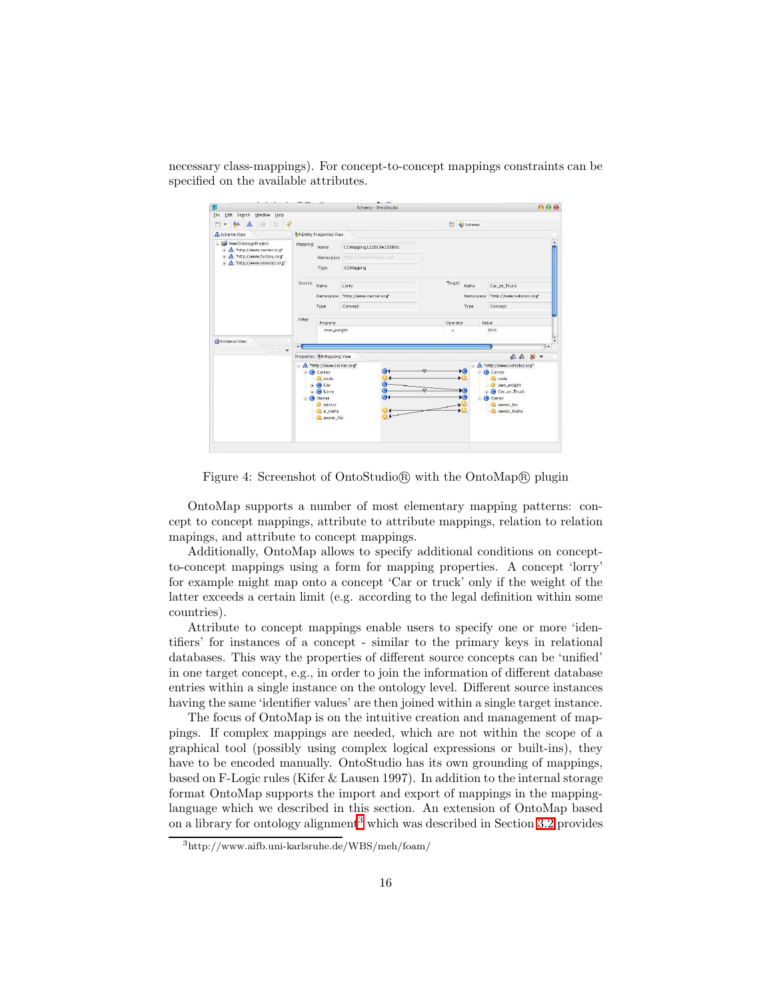necessary class-mappings). For concept-to-concept mappings constraints can be specified on the available attributes.

| 紧                                                                                                                                 |                                                                                                                                                           |                        | Schema - OntoStudio                                              |         |                          |                           |                                                                                                                               | 000   |
|-----------------------------------------------------------------------------------------------------------------------------------|-----------------------------------------------------------------------------------------------------------------------------------------------------------|------------------------|------------------------------------------------------------------|---------|--------------------------|---------------------------|-------------------------------------------------------------------------------------------------------------------------------|-------|
| Edit Search Window Help<br>Eile<br><b>体点 ③ ③ /</b><br>гă<br>$\cdot$                                                               |                                                                                                                                                           |                        |                                                                  |         |                          | <sup>8</sup> a Schema     |                                                                                                                               |       |
| A Schema View                                                                                                                     | <b>Ask Entity Properties View</b>                                                                                                                         |                        |                                                                  |         |                          |                           |                                                                                                                               |       |
| - <b>B</b> NewOntologyProject<br>F. A. "http://www.carrier.org"<br>+ 2. "http://www.factory.org"<br>+ A "http://www.vehicles.org" | Mapping:<br>Name<br>Type                                                                                                                                  | Namespace              | CCMapping1119184133801<br>"http://www.vehicles.org"<br>CCMapping |         |                          |                           |                                                                                                                               |       |
| Filter:                                                                                                                           | Source:<br>Name                                                                                                                                           |                        | Lorry                                                            | Target: |                          | Name.                     | Car_or_Truck                                                                                                                  |       |
|                                                                                                                                   | <b>Type</b>                                                                                                                                               | Namespace              | "http://www.carrier.org"<br>Concept                              |         | Namespace<br><b>Type</b> |                           | "http://www.vehicles.org"<br>Concept                                                                                          |       |
|                                                                                                                                   |                                                                                                                                                           | Property<br>max_weight |                                                                  |         | $\overline{\phantom{a}}$ | Operator<br>Value<br>20.0 |                                                                                                                               |       |
| Instance View                                                                                                                     | H.                                                                                                                                                        |                        |                                                                  |         |                          |                           |                                                                                                                               | ×     |
|                                                                                                                                   | Properties   Kok Mapping View<br>- A "http://www.carrier.org"<br>Carrier<br><b>C</b> code<br>+ C Car<br>+ <b>Q</b> Lorry<br>G Owner<br>adress<br>C o_name | Cowner_No              | $\bullet$<br>G<br>$\bullet$                                      |         | $+o$                     | $\bullet$<br>۰G<br>$+o$   | E 2A "http://www.vehicles.org"<br>Carrier<br>code<br>own_weight<br>Car_or_Truck<br><b>B</b> Owner<br>cowner_No<br>Cowner_Name | 出在 8- |

Figure 4: Screenshot of OntoStudio® with the OntoMap® plugin

OntoMap supports a number of most elementary mapping patterns: concept to concept mappings, attribute to attribute mappings, relation to relation mapings, and attribute to concept mappings.

Additionally, OntoMap allows to specify additional conditions on conceptto-concept mappings using a form for mapping properties. A concept 'lorry' for example might map onto a concept 'Car or truck' only if the weight of the latter exceeds a certain limit (e.g. according to the legal definition within some countries).

Attribute to concept mappings enable users to specify one or more 'identifiers' for instances of a concept - similar to the primary keys in relational databases. This way the properties of different source concepts can be 'unified' in one target concept, e.g., in order to join the information of different database entries within a single instance on the ontology level. Different source instances having the same 'identifier values' are then joined within a single target instance.

The focus of OntoMap is on the intuitive creation and management of mappings. If complex mappings are needed, which are not within the scope of a graphical tool (possibly using complex logical expressions or built-ins), they have to be encoded manually. OntoStudio has its own grounding of mappings, based on F-Logic rules (Kifer & Lausen 1997). In addition to the internal storage format OntoMap supports the import and export of mappings in the mappinglanguage which we described in this section. An extension of OntoMap based on a library for ontology alignment<sup>[3](#page-15-0)</sup> which was described in Section [3.2](#page-12-0) provides

<span id="page-15-0"></span><sup>3</sup>http://www.aifb.uni-karlsruhe.de/WBS/meh/foam/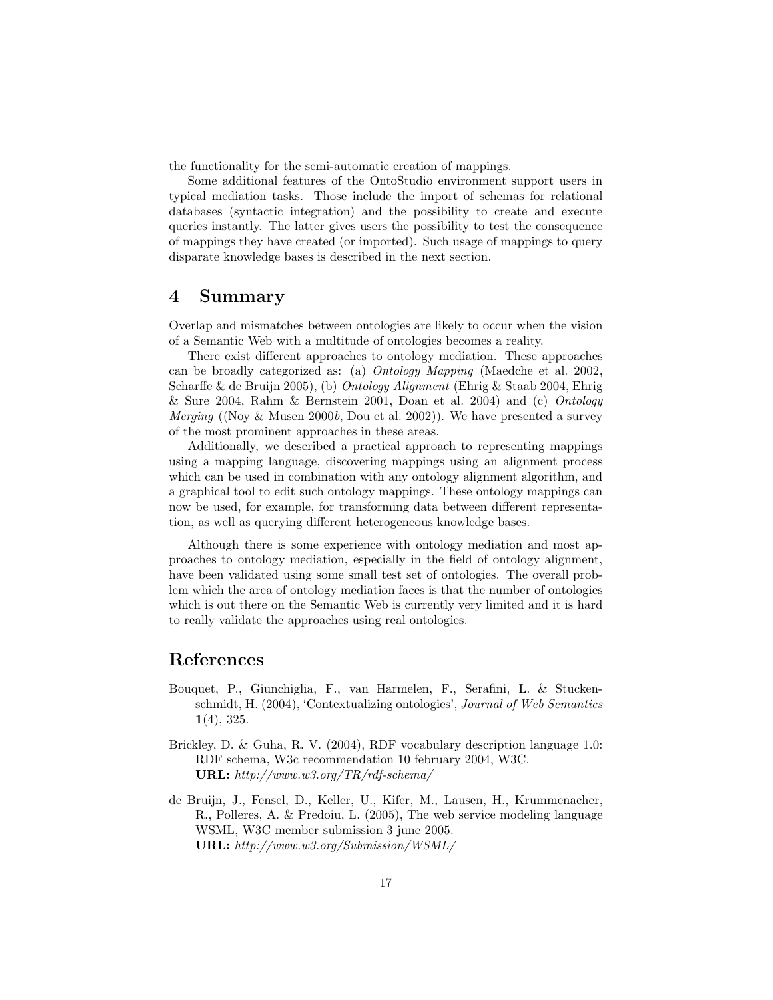the functionality for the semi-automatic creation of mappings.

Some additional features of the OntoStudio environment support users in typical mediation tasks. Those include the import of schemas for relational databases (syntactic integration) and the possibility to create and execute queries instantly. The latter gives users the possibility to test the consequence of mappings they have created (or imported). Such usage of mappings to query disparate knowledge bases is described in the next section.

## <span id="page-16-0"></span>4 Summary

Overlap and mismatches between ontologies are likely to occur when the vision of a Semantic Web with a multitude of ontologies becomes a reality.

There exist different approaches to ontology mediation. These approaches can be broadly categorized as: (a) Ontology Mapping (Maedche et al. 2002, Scharffe & de Bruijn 2005), (b) Ontology Alignment (Ehrig & Staab 2004, Ehrig & Sure 2004, Rahm & Bernstein 2001, Doan et al. 2004) and (c) Ontology *Merging* ((Noy & Musen 2000b, Dou et al. 2002)). We have presented a survey of the most prominent approaches in these areas.

Additionally, we described a practical approach to representing mappings using a mapping language, discovering mappings using an alignment process which can be used in combination with any ontology alignment algorithm, and a graphical tool to edit such ontology mappings. These ontology mappings can now be used, for example, for transforming data between different representation, as well as querying different heterogeneous knowledge bases.

Although there is some experience with ontology mediation and most approaches to ontology mediation, especially in the field of ontology alignment, have been validated using some small test set of ontologies. The overall problem which the area of ontology mediation faces is that the number of ontologies which is out there on the Semantic Web is currently very limited and it is hard to really validate the approaches using real ontologies.

## References

- Bouquet, P., Giunchiglia, F., van Harmelen, F., Serafini, L. & Stuckenschmidt, H. (2004), 'Contextualizing ontologies', Journal of Web Semantics  $1(4)$ , 325.
- Brickley, D. & Guha, R. V. (2004), RDF vocabulary description language 1.0: RDF schema, W3c recommendation 10 february 2004, W3C.  $URL: http://www.w3.org/TR/rdf-schema/$
- de Bruijn, J., Fensel, D., Keller, U., Kifer, M., Lausen, H., Krummenacher, R., Polleres, A. & Predoiu, L. (2005), The web service modeling language WSML, W3C member submission 3 june 2005. URL: http://www.w3.org/Submission/WSML/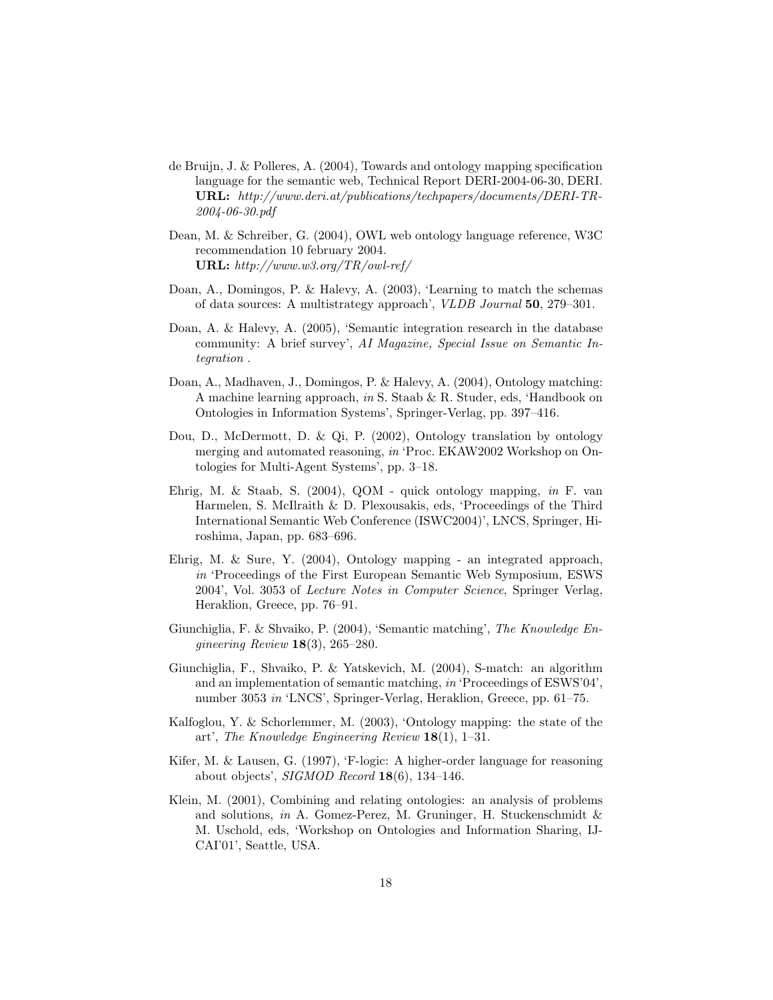- de Bruijn, J. & Polleres, A. (2004), Towards and ontology mapping specification language for the semantic web, Technical Report DERI-2004-06-30, DERI. URL: http://www.deri.at/publications/techpapers/documents/DERI-TR-2004-06-30.pdf
- Dean, M. & Schreiber, G. (2004), OWL web ontology language reference, W3C recommendation 10 february 2004.  $\mathbf{URL: } http://www.w3.org/TR/owl-ref/$
- Doan, A., Domingos, P. & Halevy, A. (2003), 'Learning to match the schemas of data sources: A multistrategy approach', VLDB Journal 50, 279-301.
- Doan, A. & Halevy, A. (2005), 'Semantic integration research in the database community: A brief survey', AI Magazine, Special Issue on Semantic Integration .
- Doan, A., Madhaven, J., Domingos, P. & Halevy, A. (2004), Ontology matching: A machine learning approach, in S. Staab & R. Studer, eds, 'Handbook on Ontologies in Information Systems', Springer-Verlag, pp. 397–416.
- Dou, D., McDermott, D. & Qi, P. (2002), Ontology translation by ontology merging and automated reasoning, in 'Proc. EKAW2002 Workshop on Ontologies for Multi-Agent Systems', pp. 3–18.
- Ehrig, M. & Staab, S. (2004), QOM quick ontology mapping, in F. van Harmelen, S. McIlraith & D. Plexousakis, eds, 'Proceedings of the Third International Semantic Web Conference (ISWC2004)', LNCS, Springer, Hiroshima, Japan, pp. 683–696.
- Ehrig, M. & Sure, Y. (2004), Ontology mapping an integrated approach, in 'Proceedings of the First European Semantic Web Symposium, ESWS 2004', Vol. 3053 of Lecture Notes in Computer Science, Springer Verlag, Heraklion, Greece, pp. 76–91.
- Giunchiglia, F. & Shvaiko, P. (2004), 'Semantic matching', The Knowledge Engineering Review 18(3), 265–280.
- Giunchiglia, F., Shvaiko, P. & Yatskevich, M. (2004), S-match: an algorithm and an implementation of semantic matching, in 'Proceedings of ESWS'04', number 3053 in 'LNCS', Springer-Verlag, Heraklion, Greece, pp. 61–75.
- Kalfoglou, Y. & Schorlemmer, M. (2003), 'Ontology mapping: the state of the art', The Knowledge Engineering Review 18(1), 1–31.
- Kifer, M. & Lausen, G. (1997), 'F-logic: A higher-order language for reasoning about objects',  $SIGMOD$  Record  $18(6)$ , 134-146.
- Klein, M. (2001), Combining and relating ontologies: an analysis of problems and solutions, in A. Gomez-Perez, M. Gruninger, H. Stuckenschmidt  $\&$ M. Uschold, eds, 'Workshop on Ontologies and Information Sharing, IJ-CAI'01', Seattle, USA.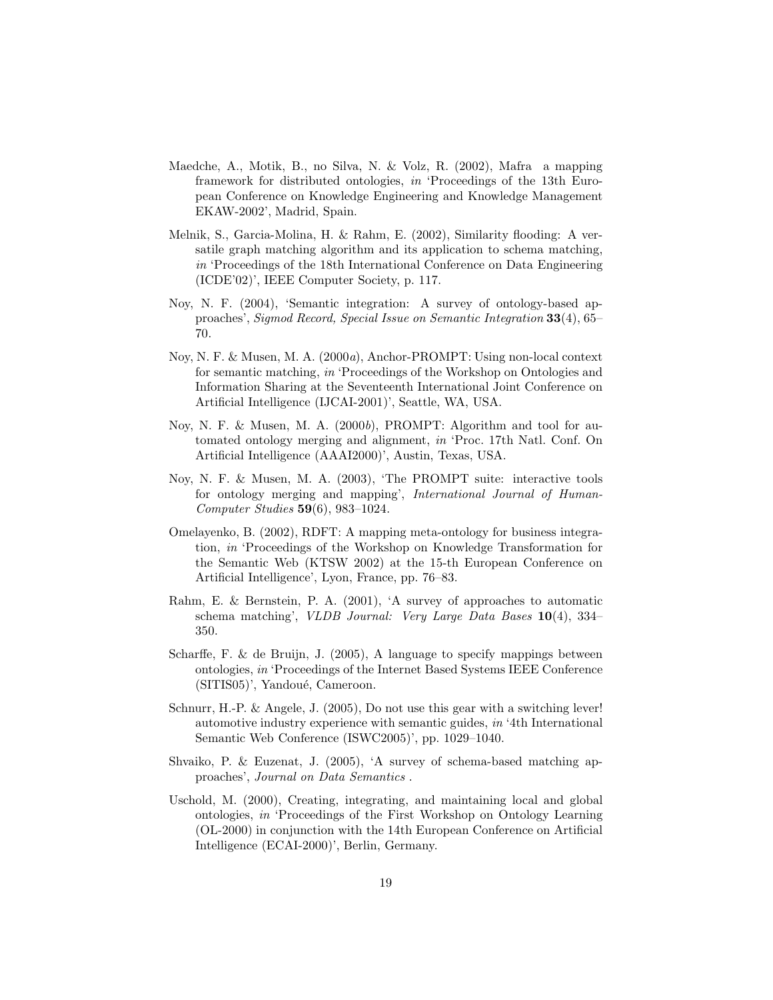- Maedche, A., Motik, B., no Silva, N. & Volz, R. (2002), Mafra a mapping framework for distributed ontologies, in 'Proceedings of the 13th European Conference on Knowledge Engineering and Knowledge Management EKAW-2002', Madrid, Spain.
- Melnik, S., Garcia-Molina, H. & Rahm, E. (2002), Similarity flooding: A versatile graph matching algorithm and its application to schema matching, in 'Proceedings of the 18th International Conference on Data Engineering (ICDE'02)', IEEE Computer Society, p. 117.
- Noy, N. F. (2004), 'Semantic integration: A survey of ontology-based approaches', Sigmod Record, Special Issue on Semantic Integration 33(4), 65– 70.
- Noy, N. F. & Musen, M. A. (2000a), Anchor-PROMPT: Using non-local context for semantic matching, in 'Proceedings of the Workshop on Ontologies and Information Sharing at the Seventeenth International Joint Conference on Artificial Intelligence (IJCAI-2001)', Seattle, WA, USA.
- Noy, N. F. & Musen, M. A. (2000b), PROMPT: Algorithm and tool for automated ontology merging and alignment, in 'Proc. 17th Natl. Conf. On Artificial Intelligence (AAAI2000)', Austin, Texas, USA.
- Noy, N. F. & Musen, M. A. (2003), 'The PROMPT suite: interactive tools for ontology merging and mapping', International Journal of Human-Computer Studies 59(6), 983–1024.
- Omelayenko, B. (2002), RDFT: A mapping meta-ontology for business integration, in 'Proceedings of the Workshop on Knowledge Transformation for the Semantic Web (KTSW 2002) at the 15-th European Conference on Artificial Intelligence', Lyon, France, pp. 76–83.
- Rahm, E. & Bernstein, P. A. (2001), 'A survey of approaches to automatic schema matching', *VLDB Journal: Very Large Data Bases* 10(4), 334– 350.
- Scharffe, F. & de Bruijn, J. (2005), A language to specify mappings between ontologies, in 'Proceedings of the Internet Based Systems IEEE Conference (SITIS05)', Yandoué, Cameroon.
- Schnurr, H.-P. & Angele, J. (2005), Do not use this gear with a switching lever! automotive industry experience with semantic guides, in '4th International Semantic Web Conference (ISWC2005)', pp. 1029–1040.
- Shvaiko, P. & Euzenat, J. (2005), 'A survey of schema-based matching approaches', Journal on Data Semantics .
- Uschold, M. (2000), Creating, integrating, and maintaining local and global ontologies, in 'Proceedings of the First Workshop on Ontology Learning (OL-2000) in conjunction with the 14th European Conference on Artificial Intelligence (ECAI-2000)', Berlin, Germany.